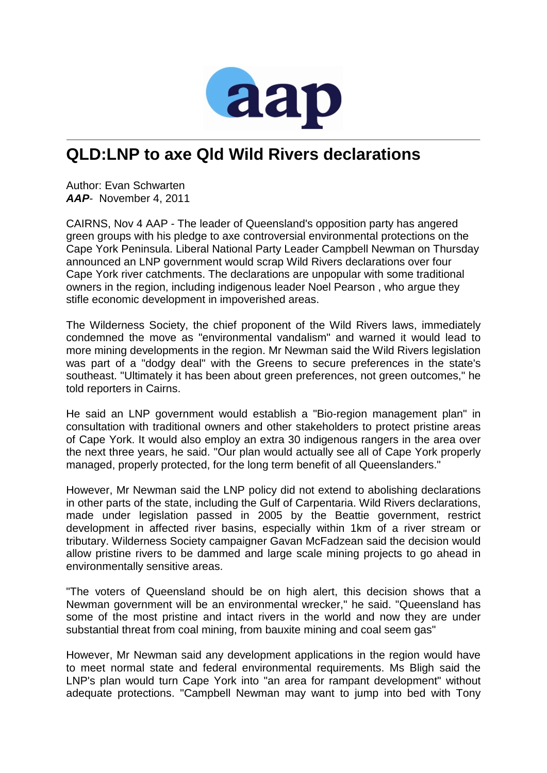

## **QLD:LNP to axe Qld Wild Rivers declarations**

Author: Evan Schwarten *AAP*- November 4, 2011

CAIRNS, Nov 4 AAP - The leader of Queensland's opposition party has angered green groups with his pledge to axe controversial environmental protections on the Cape York Peninsula. Liberal National Party Leader Campbell Newman on Thursday announced an LNP government would scrap Wild Rivers declarations over four Cape York river catchments. The declarations are unpopular with some traditional owners in the region, including indigenous leader Noel Pearson , who argue they stifle economic development in impoverished areas.

The Wilderness Society, the chief proponent of the Wild Rivers laws, immediately condemned the move as "environmental vandalism" and warned it would lead to more mining developments in the region. Mr Newman said the Wild Rivers legislation was part of a "dodgy deal" with the Greens to secure preferences in the state's southeast. "Ultimately it has been about green preferences, not green outcomes," he told reporters in Cairns.

He said an LNP government would establish a "Bio-region management plan" in consultation with traditional owners and other stakeholders to protect pristine areas of Cape York. It would also employ an extra 30 indigenous rangers in the area over the next three years, he said. "Our plan would actually see all of Cape York properly managed, properly protected, for the long term benefit of all Queenslanders."

However, Mr Newman said the LNP policy did not extend to abolishing declarations in other parts of the state, including the Gulf of Carpentaria. Wild Rivers declarations, made under legislation passed in 2005 by the Beattie government, restrict development in affected river basins, especially within 1km of a river stream or tributary. Wilderness Society campaigner Gavan McFadzean said the decision would allow pristine rivers to be dammed and large scale mining projects to go ahead in environmentally sensitive areas.

"The voters of Queensland should be on high alert, this decision shows that a Newman government will be an environmental wrecker," he said. "Queensland has some of the most pristine and intact rivers in the world and now they are under substantial threat from coal mining, from bauxite mining and coal seem gas"

However, Mr Newman said any development applications in the region would have to meet normal state and federal environmental requirements. Ms Bligh said the LNP's plan would turn Cape York into "an area for rampant development" without adequate protections. "Campbell Newman may want to jump into bed with Tony